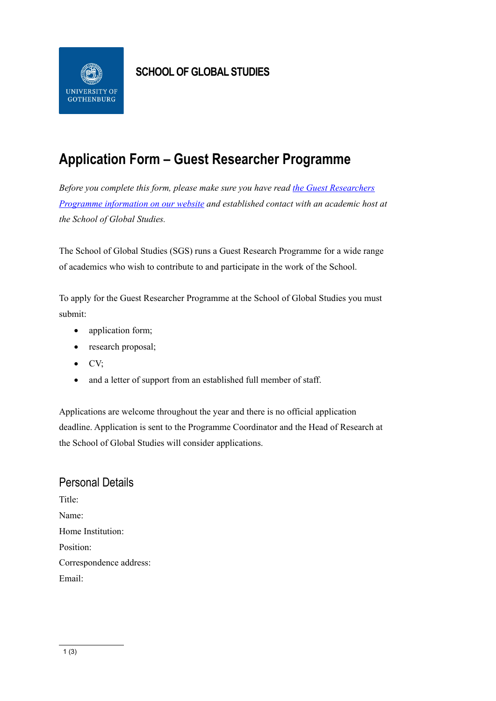

### **SCHOOL OF GLOBAL STUDIES**

# **Application Form – Guest Researcher Programme**

*Before you complete this form, please make sure you have read [the Guest Researchers](https://www.gu.se/en/globalstudies/our-research/guest-researcher-programme)  [Programme information on our website](https://www.gu.se/en/globalstudies/our-research/guest-researcher-programme) and established contact with an academic host at the School of Global Studies.*

The School of Global Studies (SGS) runs a Guest Research Programme for a wide range of academics who wish to contribute to and participate in the work of the School.

To apply for the Guest Researcher Programme at the School of Global Studies you must submit:

- application form;
- research proposal;
- CV;
- and a letter of support from an established full member of staff.

Applications are welcome throughout the year and there is no official application deadline. Application is sent to the Programme Coordinator and the Head of Research at the School of Global Studies will consider applications.

## Personal Details

Title: Name: Home Institution: Position: Correspondence address: Email: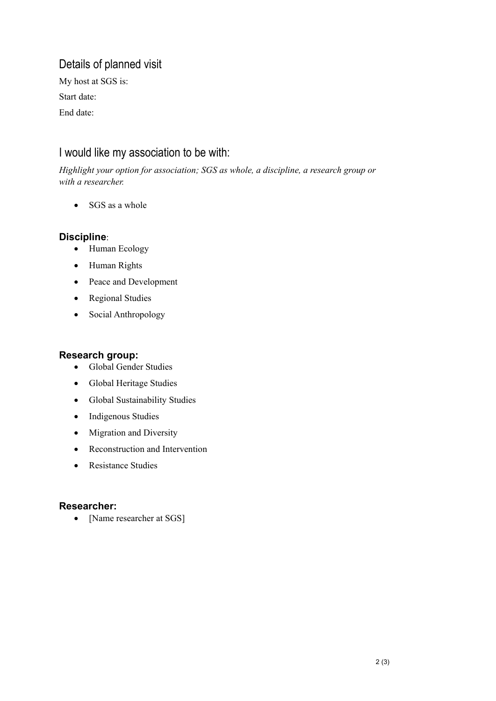## Details of planned visit

My host at SGS is: Start date: End date:

### I would like my association to be with:

*Highlight your option for association; SGS as whole, a discipline, a research group or with a researcher.*

• SGS as a whole

#### **Discipline**:

- Human Ecology
- Human Rights
- Peace and Development
- Regional Studies
- Social Anthropology

#### **Research group:**

- Global Gender Studies
- Global Heritage Studies
- Global Sustainability Studies
- Indigenous Studies
- Migration and Diversity
- Reconstruction and Intervention
- Resistance Studies

#### **Researcher:**

• [Name researcher at SGS]